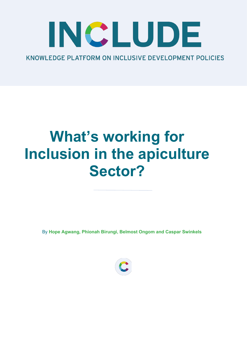# INCLUDE KNOWLEDGE PLATFORM ON INCLUSIVE DEVELOPMENT POLICIES

## **What's working for Inclusion in the apiculture Sector?**

By Hope Agwang, Phionah Birungi, Belmost Ongom and Caspar Swinkels

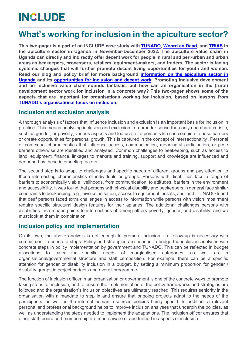### **INCLUDE**

### **What's working for inclusion in the apiculture sector?**

**This two-pager is a part of an INCLUDE case study with [TUNADO,](http://tunadobees.org/) [Woord en Daad,](https://www.woordendaad.nl/english/) and [TRIAS](https://www.trias.ngo/en/worldwide/uganda) in the apiculture sector in Uganda in November-December 2022. The apiculture value chain in Uganda can directly and indirectly offer decent work for people in rural and peri-urban and urban areas as beekeepers, processors, retailers, equipment-makers, and traders. The sector is facing systemic changes that will further promote decent living opportunities for youth and women. Read our blog and policy brief for more background [information on the apiculture sector in](https://includeplatform.net/news/flight-paths-of-the-beekeeping-sector-in-uganda/)  [Uganda](https://includeplatform.net/news/flight-paths-of-the-beekeeping-sector-in-uganda/) and its [opportunities for inclusion and decent work.](https://includeplatform.net/publications/beyond-bees-flight-paths-from-apiculture-in-uganda/) Promoting inclusive development and an inclusive value chain sounds fantastic, but how can an organisation in the (rural) development sector work for inclusion in a concrete way? This two-pager shows some of the aspects that are important for organisations working for inclusion, based on lessons from TUNADO's organisational focus on inclusion.** 

### **Inclusion and exclusion analysis**

A thorough analysis of factors that influence inclusion and exclusion is an important basis for inclusion in practice. This means analysing inclusion and exclusion in a broader sense than only one characteristic, such as gender, or poverty; various aspects and features of a person's life can combine to pose barriers or create opportunities for personal growth. This is captured in the concept of intersectionality<sup>i</sup>. Personal or contextual characteristics that influence access, communication, meaningful participation, or pose barriers otherwise are identified and analysed. Common challenges to beekeeping, such as access to land, equipment, finance, linkages to markets and training, support and knowledge are influenced and deepened by these intersecting factors.

The second step is to adapt to challenges and specific needs of different groups and pay attention to these intersecting characteristics of individuals or groups. Persons with disabilities face a range of barriers to economically viable livelihoods, from communication, to attitudes, barriers in the environment and accessibility. It was found that persons with physical disability and beekeepers in general face similar constraints to beekeeping, e.g., hive colonisation, access to equipment, assets, and land. TUNADO found that deaf persons faced extra challenges in access to information while persons with vision impairment require specific structural design features for their apiaries. The additional challenges persons with disabilities face means points to intersections of among others poverty, gender, and disability, and we must look at them in combination.

### **Inclusion policy and implementation**

On its own, the above analysis is not enough to promote inclusion  $-$  a follow-up is necessary with commitment to concrete steps. Policy and strategies are needed to bridge the inclusion analyses with concrete steps in policy implementation by government and TUNADO. This can be reflected in budget allocations to cater for specific needs of marginalised categories, as well as in organisational/governmental structure and staff composition. For example, there can be a specific attention for gender or disability inclusion in a budget, by setting a minimum proportion for gender / disability groups in project budgets and overall programme.

The function of inclusion officer in an organisation or government is one of the concrete ways to promote taking steps for inclusion, and to ensure the implementation of the policy frameworks and strategies are followed and the organisation's inclusion objectives are ultimately reached. This requires seniority in the organisation with a mandate to step in and ensure that ongoing projects adapt to the needs of the participants, as well as the internal human resources policies being upheld. In addition, a relevant personal and professional background helps to improve inclusion analyses that underpin the policies, as well as understanding the steps needed to implement the adaptations. The inclusion officer ensures that other staff, board and membership are made aware of and trained in aspects of inclusion.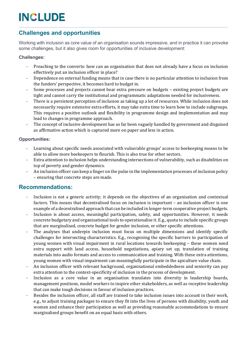### **INCLUDE**

### **Challenges and opportunities**

Working with inclusion as core value of an organisation sounds impressive, and in practice it can provoke some challenges, but it also gives room for opportunities of inclusive development:

#### **Challenges:**

- Preaching to the converts: how can an organisation that does not already have a focus on inclusion effectively put an inclusion officer in place?
- Dependence on external funding means that in case there is no particular attention to inclusion from the funders' perspective, it becomes hard to budget in.
- Some processes and projects cannot bear extra pressure on budgets existing project budgets are tight and cannot carry the institutional and programmatic adaptations needed for inclusiveness.
- There is a persistent perception of inclusion as taking up a lot of resources. While inclusion does not necessarily require extensive extra efforts, it may take extra time to learn how to include subgroups. This requires a positive outlook and flexibility in programme design and implementation and may lead to changes in programme approach.
- The concept of inclusive development has so far been vaguely handled by government and disguised as affirmative action which is captured more on paper and less in action.

#### **Opportunities:**

- Learning about specific needs associated with vulnerable groups' access to beekeeping means to be able to allow more beekeepers to flourish. This is also true for other sectors.
- Extra attention to inclusion helps understanding intersections of vulnerability, such as disabilities on top of poverty and gender dynamics.
- An inclusion officer can keep a finger on the pulse in the implementation processes of inclusion policy - ensuring that concrete steps are made.

#### **Recommendations:**

- Inclusion is not a generic activity; it depends on the objectives of an organisation and contextual factors. This means that decentralised focus on inclusion is important – an inclusion officer is one example of a decentralised approach that can be included in longer-term cooperative project budgets.
- Inclusion is about access, meaningful participation, safety, and opportunities. However, it needs concrete budgetary and organisational tools to operationalise it. E.g., quota to include specific groups that are marginalised, concrete budget for gender inclusion, or other specific attentions.
- The analyses that underpin inclusion must focus on multiple dimensions and identify specific challenges for intersecting characteristics. E.g., recognising the specific barriers to participation of young women with visual impairment in rural locations towards beekeeping – these women need extra support with land access, household negotiations, apiary set up, translation of training materials into audio formats and access to communication and training. With these extra attentions, young women with visual impairment can meaningfully participate in the apiculture value chain.
- An inclusion officer with relevant background, organisational embeddedness and seniority can pay extra attention to the context-specificity of inclusion in the process of development.
- Inclusion as a core value in an organisation translates into diversity in leadership boards, management positions, model workers to inspire other stakeholders, as well as receptive leadership that can make tough decisions in favour of inclusion practices.
- Besides the inclusion officer, all staff are trained to take inclusion issues into account in their work, e.g., to adjust training packages to ensure they fit into the lives of persons with disability, youth and women and enhance their participation as well as providing reasonable accommodations to ensure marginalised groups benefit on an equal basis with others.